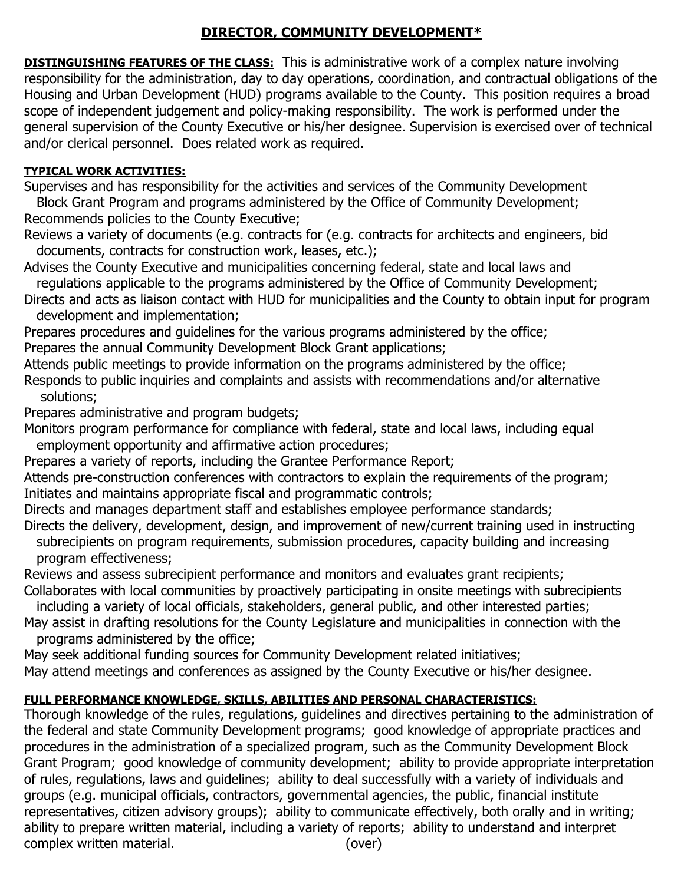## **DIRECTOR, COMMUNITY DEVELOPMENT\***

**DISTINGUISHING FEATURES OF THE CLASS:** This is administrative work of a complex nature involving responsibility for the administration, day to day operations, coordination, and contractual obligations of the Housing and Urban Development (HUD) programs available to the County. This position requires a broad scope of independent judgement and policy-making responsibility. The work is performed under the general supervision of the County Executive or his/her designee. Supervision is exercised over of technical and/or clerical personnel. Does related work as required.

## **TYPICAL WORK ACTIVITIES:**

Supervises and has responsibility for the activities and services of the Community Development

 Block Grant Program and programs administered by the Office of Community Development; Recommends policies to the County Executive;

Reviews a variety of documents (e.g. contracts for (e.g. contracts for architects and engineers, bid documents, contracts for construction work, leases, etc.);

Advises the County Executive and municipalities concerning federal, state and local laws and regulations applicable to the programs administered by the Office of Community Development;

Directs and acts as liaison contact with HUD for municipalities and the County to obtain input for program development and implementation;

Prepares procedures and guidelines for the various programs administered by the office;

Prepares the annual Community Development Block Grant applications;

Attends public meetings to provide information on the programs administered by the office;

Responds to public inquiries and complaints and assists with recommendations and/or alternative solutions;

Prepares administrative and program budgets;

Monitors program performance for compliance with federal, state and local laws, including equal employment opportunity and affirmative action procedures;

Prepares a variety of reports, including the Grantee Performance Report;

Attends pre-construction conferences with contractors to explain the requirements of the program; Initiates and maintains appropriate fiscal and programmatic controls;

Directs and manages department staff and establishes employee performance standards;

Directs the delivery, development, design, and improvement of new/current training used in instructing subrecipients on program requirements, submission procedures, capacity building and increasing program effectiveness;

Reviews and assess subrecipient performance and monitors and evaluates grant recipients; Collaborates with local communities by proactively participating in onsite meetings with subrecipients

including a variety of local officials, stakeholders, general public, and other interested parties;

May assist in drafting resolutions for the County Legislature and municipalities in connection with the programs administered by the office;

May seek additional funding sources for Community Development related initiatives;

May attend meetings and conferences as assigned by the County Executive or his/her designee.

## **FULL PERFORMANCE KNOWLEDGE, SKILLS, ABILITIES AND PERSONAL CHARACTERISTICS:**

Thorough knowledge of the rules, regulations, guidelines and directives pertaining to the administration of the federal and state Community Development programs; good knowledge of appropriate practices and procedures in the administration of a specialized program, such as the Community Development Block Grant Program; good knowledge of community development; ability to provide appropriate interpretation of rules, regulations, laws and guidelines; ability to deal successfully with a variety of individuals and groups (e.g. municipal officials, contractors, governmental agencies, the public, financial institute representatives, citizen advisory groups); ability to communicate effectively, both orally and in writing; ability to prepare written material, including a variety of reports; ability to understand and interpret complex written material. (over)